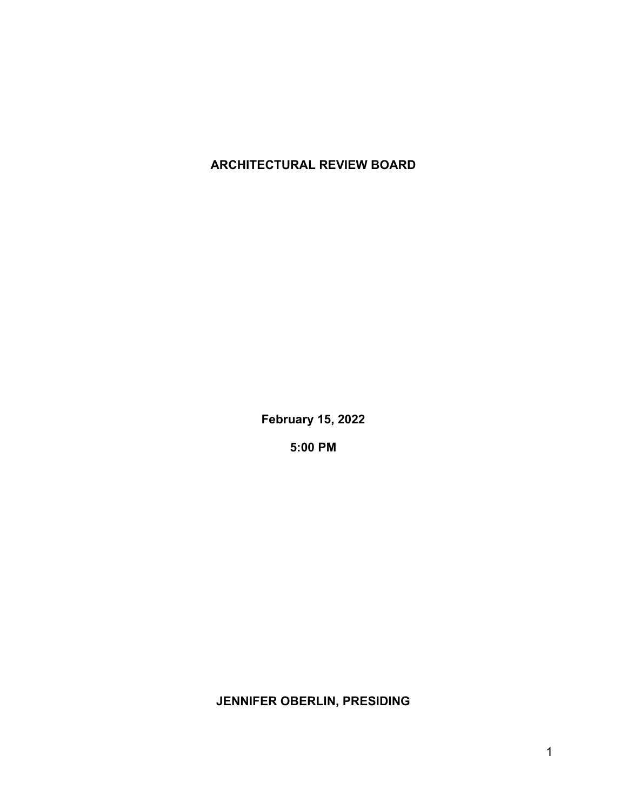## **ARCHITECTURAL REVIEW BOARD**

**February 15, 2022**

**5:00 PM**

**JENNIFER OBERLIN, PRESIDING**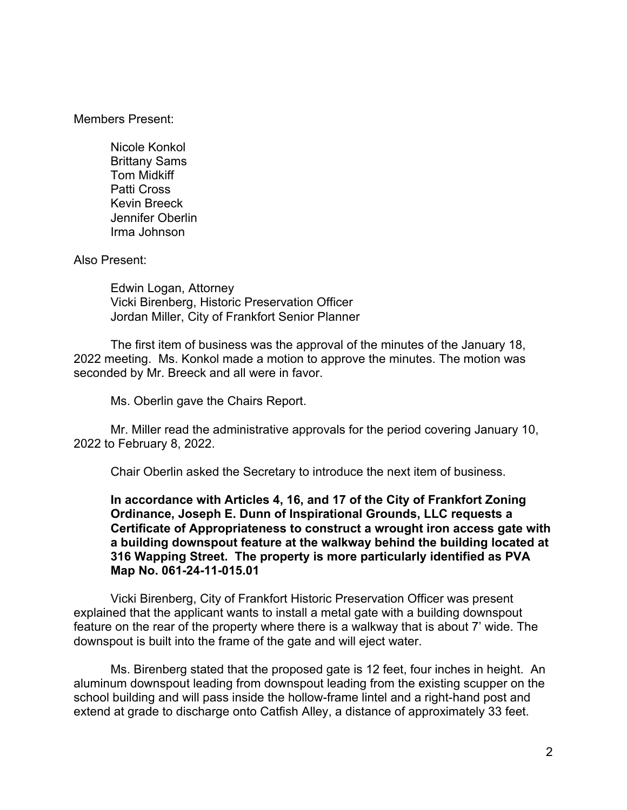Members Present:

Nicole Konkol Brittany Sams Tom Midkiff Patti Cross Kevin Breeck Jennifer Oberlin Irma Johnson

Also Present:

Edwin Logan, Attorney Vicki Birenberg, Historic Preservation Officer Jordan Miller, City of Frankfort Senior Planner

The first item of business was the approval of the minutes of the January 18, 2022 meeting. Ms. Konkol made a motion to approve the minutes. The motion was seconded by Mr. Breeck and all were in favor.

Ms. Oberlin gave the Chairs Report.

Mr. Miller read the administrative approvals for the period covering January 10, 2022 to February 8, 2022.

Chair Oberlin asked the Secretary to introduce the next item of business.

**In accordance with Articles 4, 16, and 17 of the City of Frankfort Zoning Ordinance, Joseph E. Dunn of Inspirational Grounds, LLC requests a Certificate of Appropriateness to construct a wrought iron access gate with a building downspout feature at the walkway behind the building located at 316 Wapping Street. The property is more particularly identified as PVA Map No. 061-24-11-015.01**

Vicki Birenberg, City of Frankfort Historic Preservation Officer was present explained that the applicant wants to install a metal gate with a building downspout feature on the rear of the property where there is a walkway that is about 7' wide. The downspout is built into the frame of the gate and will eject water.

Ms. Birenberg stated that the proposed gate is 12 feet, four inches in height. An aluminum downspout leading from downspout leading from the existing scupper on the school building and will pass inside the hollow-frame lintel and a right-hand post and extend at grade to discharge onto Catfish Alley, a distance of approximately 33 feet.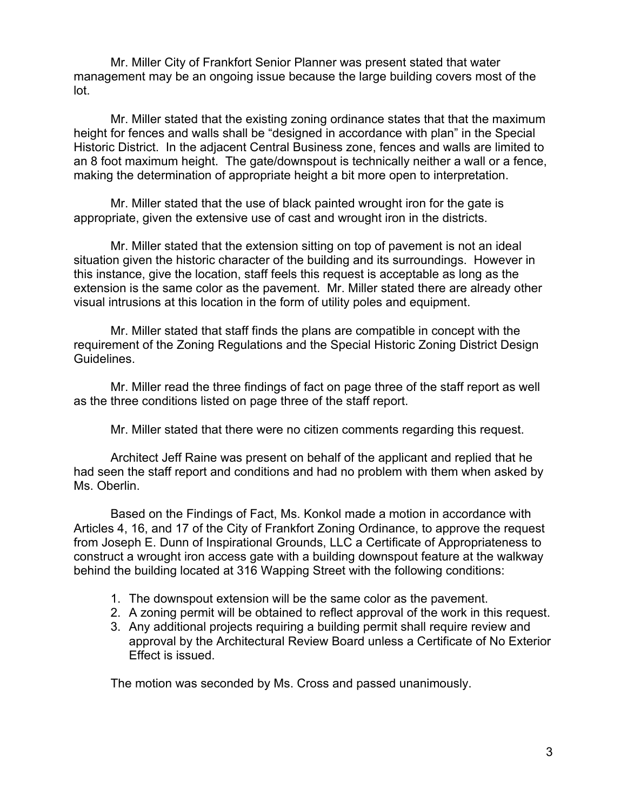Mr. Miller City of Frankfort Senior Planner was present stated that water management may be an ongoing issue because the large building covers most of the lot.

Mr. Miller stated that the existing zoning ordinance states that that the maximum height for fences and walls shall be "designed in accordance with plan" in the Special Historic District. In the adjacent Central Business zone, fences and walls are limited to an 8 foot maximum height. The gate/downspout is technically neither a wall or a fence, making the determination of appropriate height a bit more open to interpretation.

Mr. Miller stated that the use of black painted wrought iron for the gate is appropriate, given the extensive use of cast and wrought iron in the districts.

Mr. Miller stated that the extension sitting on top of pavement is not an ideal situation given the historic character of the building and its surroundings. However in this instance, give the location, staff feels this request is acceptable as long as the extension is the same color as the pavement. Mr. Miller stated there are already other visual intrusions at this location in the form of utility poles and equipment.

Mr. Miller stated that staff finds the plans are compatible in concept with the requirement of the Zoning Regulations and the Special Historic Zoning District Design Guidelines.

Mr. Miller read the three findings of fact on page three of the staff report as well as the three conditions listed on page three of the staff report.

Mr. Miller stated that there were no citizen comments regarding this request.

Architect Jeff Raine was present on behalf of the applicant and replied that he had seen the staff report and conditions and had no problem with them when asked by Ms. Oberlin.

Based on the Findings of Fact, Ms. Konkol made a motion in accordance with Articles 4, 16, and 17 of the City of Frankfort Zoning Ordinance, to approve the request from Joseph E. Dunn of Inspirational Grounds, LLC a Certificate of Appropriateness to construct a wrought iron access gate with a building downspout feature at the walkway behind the building located at 316 Wapping Street with the following conditions:

- 1. The downspout extension will be the same color as the pavement.
- 2. A zoning permit will be obtained to reflect approval of the work in this request.
- 3. Any additional projects requiring a building permit shall require review and approval by the Architectural Review Board unless a Certificate of No Exterior Effect is issued.

The motion was seconded by Ms. Cross and passed unanimously.